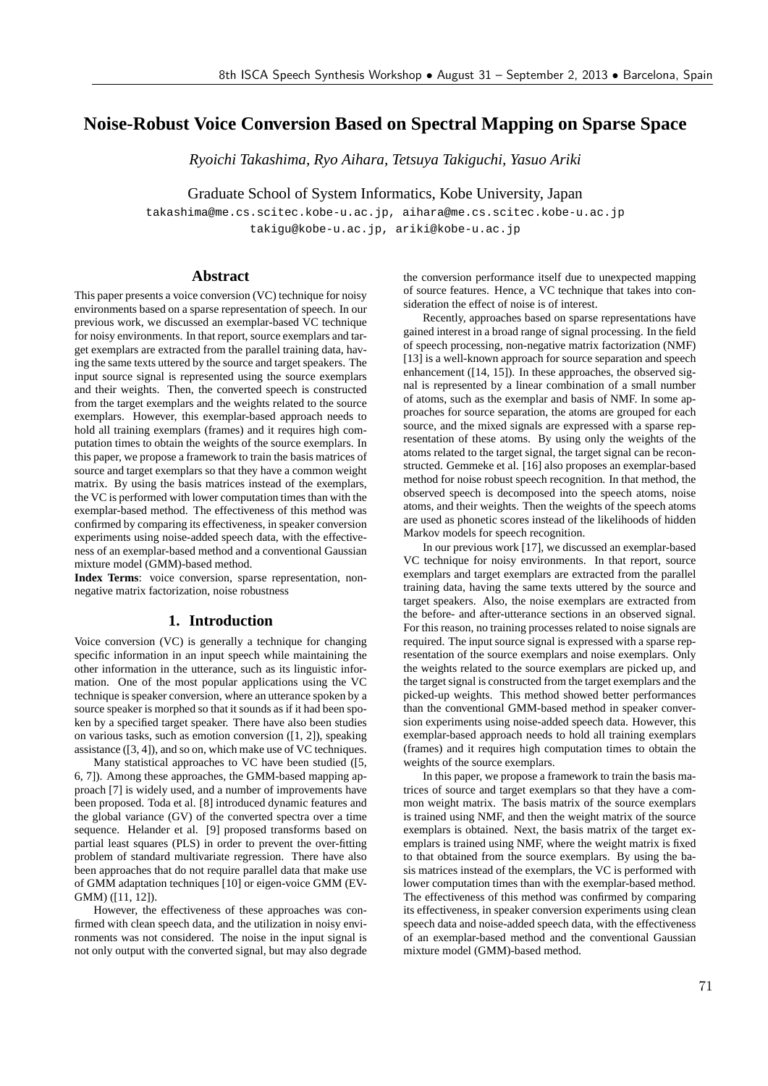# **Noise-Robust Voice Conversion Based on Spectral Mapping on Sparse Space**

*Ryoichi Takashima, Ryo Aihara, Tetsuya Takiguchi, Yasuo Ariki*

Graduate School of System Informatics, Kobe University, Japan

takashima@me.cs.scitec.kobe-u.ac.jp, aihara@me.cs.scitec.kobe-u.ac.jp takigu@kobe-u.ac.jp, ariki@kobe-u.ac.jp

## **Abstract**

This paper presents a voice conversion (VC) technique for noisy environments based on a sparse representation of speech. In our previous work, we discussed an exemplar-based VC technique for noisy environments. In that report, source exemplars and target exemplars are extracted from the parallel training data, having the same texts uttered by the source and target speakers. The input source signal is represented using the source exemplars and their weights. Then, the converted speech is constructed from the target exemplars and the weights related to the source exemplars. However, this exemplar-based approach needs to hold all training exemplars (frames) and it requires high computation times to obtain the weights of the source exemplars. In this paper, we propose a framework to train the basis matrices of source and target exemplars so that they have a common weight matrix. By using the basis matrices instead of the exemplars, the VC is performed with lower computation times than with the exemplar-based method. The effectiveness of this method was confirmed by comparing its effectiveness, in speaker conversion experiments using noise-added speech data, with the effectiveness of an exemplar-based method and a conventional Gaussian mixture model (GMM)-based method.

**Index Terms**: voice conversion, sparse representation, nonnegative matrix factorization, noise robustness

## **1. Introduction**

Voice conversion (VC) is generally a technique for changing specific information in an input speech while maintaining the other information in the utterance, such as its linguistic information. One of the most popular applications using the VC technique is speaker conversion, where an utterance spoken by a source speaker is morphed so that it sounds as if it had been spoken by a specified target speaker. There have also been studies on various tasks, such as emotion conversion ([1, 2]), speaking assistance ([3, 4]), and so on, which make use of VC techniques.

Many statistical approaches to VC have been studied ([5, 6, 7]). Among these approaches, the GMM-based mapping approach [7] is widely used, and a number of improvements have been proposed. Toda et al. [8] introduced dynamic features and the global variance (GV) of the converted spectra over a time sequence. Helander et al. [9] proposed transforms based on partial least squares (PLS) in order to prevent the over-fitting problem of standard multivariate regression. There have also been approaches that do not require parallel data that make use of GMM adaptation techniques [10] or eigen-voice GMM (EV-GMM) ([11, 12]).

However, the effectiveness of these approaches was confirmed with clean speech data, and the utilization in noisy environments was not considered. The noise in the input signal is not only output with the converted signal, but may also degrade the conversion performance itself due to unexpected mapping of source features. Hence, a VC technique that takes into consideration the effect of noise is of interest.

Recently, approaches based on sparse representations have gained interest in a broad range of signal processing. In the field of speech processing, non-negative matrix factorization (NMF) [13] is a well-known approach for source separation and speech enhancement ([14, 15]). In these approaches, the observed signal is represented by a linear combination of a small number of atoms, such as the exemplar and basis of NMF. In some approaches for source separation, the atoms are grouped for each source, and the mixed signals are expressed with a sparse representation of these atoms. By using only the weights of the atoms related to the target signal, the target signal can be reconstructed. Gemmeke et al. [16] also proposes an exemplar-based method for noise robust speech recognition. In that method, the observed speech is decomposed into the speech atoms, noise atoms, and their weights. Then the weights of the speech atoms are used as phonetic scores instead of the likelihoods of hidden Markov models for speech recognition.

In our previous work [17], we discussed an exemplar-based VC technique for noisy environments. In that report, source exemplars and target exemplars are extracted from the parallel training data, having the same texts uttered by the source and target speakers. Also, the noise exemplars are extracted from the before- and after-utterance sections in an observed signal. For this reason, no training processes related to noise signals are required. The input source signal is expressed with a sparse representation of the source exemplars and noise exemplars. Only the weights related to the source exemplars are picked up, and the target signal is constructed from the target exemplars and the picked-up weights. This method showed better performances than the conventional GMM-based method in speaker conversion experiments using noise-added speech data. However, this exemplar-based approach needs to hold all training exemplars (frames) and it requires high computation times to obtain the weights of the source exemplars.

In this paper, we propose a framework to train the basis matrices of source and target exemplars so that they have a common weight matrix. The basis matrix of the source exemplars is trained using NMF, and then the weight matrix of the source exemplars is obtained. Next, the basis matrix of the target exemplars is trained using NMF, where the weight matrix is fixed to that obtained from the source exemplars. By using the basis matrices instead of the exemplars, the VC is performed with lower computation times than with the exemplar-based method. The effectiveness of this method was confirmed by comparing its effectiveness, in speaker conversion experiments using clean speech data and noise-added speech data, with the effectiveness of an exemplar-based method and the conventional Gaussian mixture model (GMM)-based method.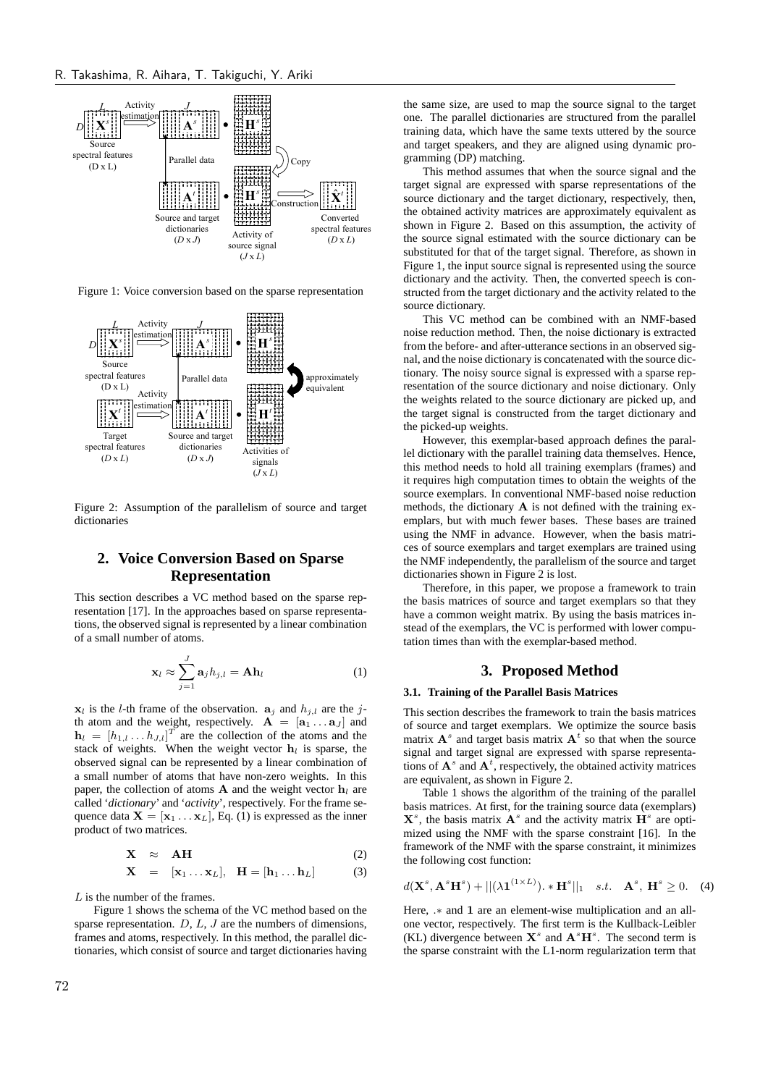

Figure 1: Voice conversion based on the sparse representation



Figure 2: Assumption of the parallelism of source and target dictionaries

## **2. Voice Conversion Based on Sparse Representation**

This section describes a VC method based on the sparse representation [17]. In the approaches based on sparse representations, the observed signal is represented by a linear combination of a small number of atoms.

$$
\mathbf{x}_{l} \approx \sum_{j=1}^{J} \mathbf{a}_{j} h_{j,l} = \mathbf{A} \mathbf{h}_{l}
$$
 (1)

 $x_l$  is the *l*-th frame of the observation.  $a_i$  and  $h_{i,l}$  are the jth atom and the weight, respectively.  $A = [\mathbf{a}_1 \dots \mathbf{a}_J]$  and  $\mathbf{h}_l = [h_{1,l} \dots h_{J,l}]^T$  are the collection of the atoms and the stack of weights. When the weight vector  $h_l$  is sparse, the observed signal can be represented by a linear combination of a small number of atoms that have non-zero weights. In this paper, the collection of atoms  $A$  and the weight vector  $h_l$  are called '*dictionary*' and '*activity*', respectively. For the frame sequence data  $X = [\mathbf{x}_1 \dots \mathbf{x}_L]$ , Eq. (1) is expressed as the inner product of two matrices.

$$
\mathbf{X} \quad \approx \quad \mathbf{AH} \tag{2}
$$

$$
\mathbf{X} = [\mathbf{x}_1 \dots \mathbf{x}_L], \quad \mathbf{H} = [\mathbf{h}_1 \dots \mathbf{h}_L] \quad (3)
$$

 $L$  is the number of the frames.

Figure 1 shows the schema of the VC method based on the sparse representation.  $D, L, J$  are the numbers of dimensions, frames and atoms, respectively. In this method, the parallel dictionaries, which consist of source and target dictionaries having

This method assumes that when the source signal and the target signal are expressed with sparse representations of the source dictionary and the target dictionary, respectively, then, the obtained activity matrices are approximately equivalent as shown in Figure 2. Based on this assumption, the activity of the source signal estimated with the source dictionary can be substituted for that of the target signal. Therefore, as shown in Figure 1, the input source signal is represented using the source dictionary and the activity. Then, the converted speech is constructed from the target dictionary and the activity related to the source dictionary.

This VC method can be combined with an NMF-based noise reduction method. Then, the noise dictionary is extracted from the before- and after-utterance sections in an observed signal, and the noise dictionary is concatenated with the source dictionary. The noisy source signal is expressed with a sparse representation of the source dictionary and noise dictionary. Only the weights related to the source dictionary are picked up, and the target signal is constructed from the target dictionary and the picked-up weights.

However, this exemplar-based approach defines the parallel dictionary with the parallel training data themselves. Hence, this method needs to hold all training exemplars (frames) and it requires high computation times to obtain the weights of the source exemplars. In conventional NMF-based noise reduction methods, the dictionary  $A$  is not defined with the training exemplars, but with much fewer bases. These bases are trained using the NMF in advance. However, when the basis matrices of source exemplars and target exemplars are trained using the NMF independently, the parallelism of the source and target dictionaries shown in Figure 2 is lost.

Therefore, in this paper, we propose a framework to train the basis matrices of source and target exemplars so that they have a common weight matrix. By using the basis matrices instead of the exemplars, the VC is performed with lower computation times than with the exemplar-based method.

## **3. Proposed Method**

### **3.1. Training of the Parallel Basis Matrices**

This section describes the framework to train the basis matrices of source and target exemplars. We optimize the source basis matrix  $A^s$  and target basis matrix  $A^t$  so that when the source signal and target signal are expressed with sparse representations of  $A^s$  and  $A^t$ , respectively, the obtained activity matrices are equivalent, as shown in Figure 2.

Table 1 shows the algorithm of the training of the parallel basis matrices. At first, for the training source data (exemplars)  $X^s$ , the basis matrix  $A^s$  and the activity matrix  $H^s$  are optimized using the NMF with the sparse constraint [16]. In the framework of the NMF with the sparse constraint, it minimizes the following cost function:

$$
d(\mathbf{X}^s, \mathbf{A}^s \mathbf{H}^s) + ||(\lambda \mathbf{1}^{(1 \times L)}) \cdot \mathbf{H}^s||_1 \quad s.t. \quad \mathbf{A}^s, \ \mathbf{H}^s \ge 0. \tag{4}
$$

Here, .∗ and 1 are an element-wise multiplication and an allone vector, respectively. The first term is the Kullback-Leibler (KL) divergence between  $X^s$  and  $A^sH^s$ . The second term is the sparse constraint with the L1-norm regularization term that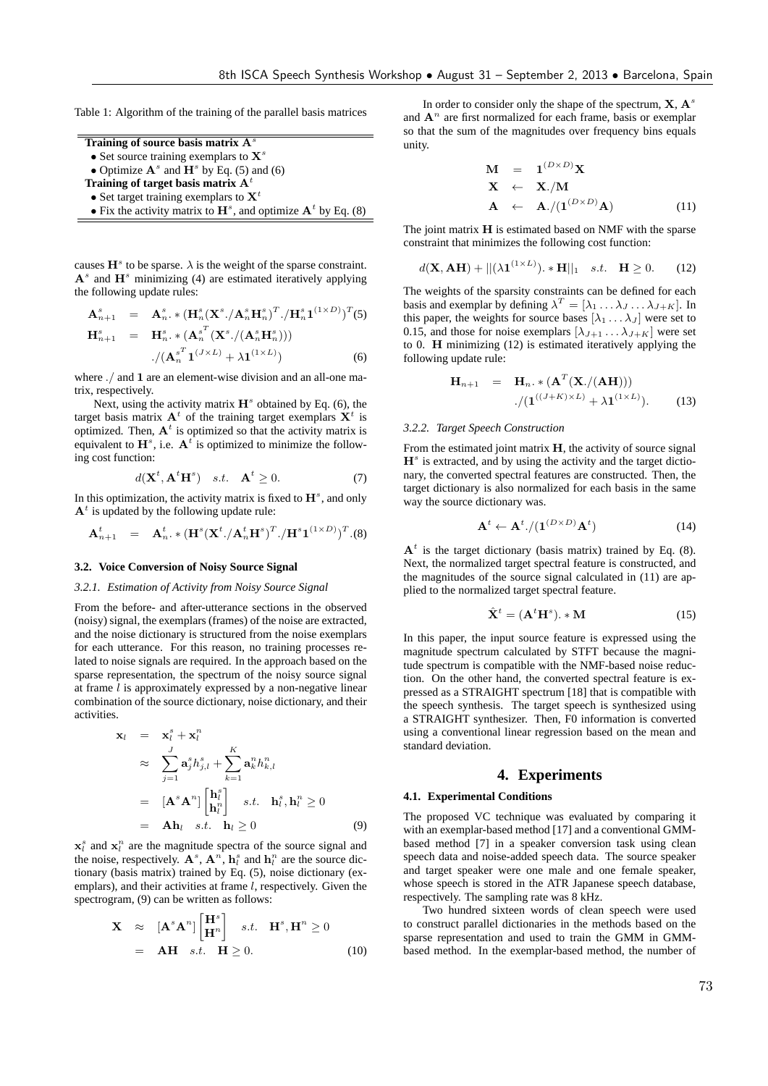Table 1: Algorithm of the training of the parallel basis matrices

| Training of source basis matrix $A^s$                                                    |
|------------------------------------------------------------------------------------------|
| $\bullet$ Set source training exemplars to $\mathbf{X}^s$                                |
| • Optimize $A^s$ and $H^s$ by Eq. (5) and (6)                                            |
| Training of target basis matrix $At$                                                     |
| • Set target training exemplars to $Xt$                                                  |
| • Fix the activity matrix to $\mathbf{H}^{s}$ , and optimize $\mathbf{A}^{t}$ by Eq. (8) |
|                                                                                          |

causes  $\mathbf{H}^s$  to be sparse.  $\lambda$  is the weight of the sparse constraint.  $A<sup>s</sup>$  and  $H<sup>s</sup>$  minimizing (4) are estimated iteratively applying the following update rules:

$$
\mathbf{A}_{n+1}^{s} = \mathbf{A}_{n}^{s} \cdot * (\mathbf{H}_{n}^{s} (\mathbf{X}^{s} \cdot / \mathbf{A}_{n}^{s} \mathbf{H}_{n}^{s})^{T} \cdot / \mathbf{H}_{n}^{s} \mathbf{1}^{(1 \times D)})^{T}(5)
$$

$$
\mathbf{H}_{n+1}^{s} = \mathbf{H}_{n}^{s} \cdot * (\mathbf{A}_{n}^{s} (\mathbf{X}^{s} \cdot / (\mathbf{A}_{n}^{s} \mathbf{H}_{n}^{s})))
$$

$$
\cdot / (\mathbf{A}_{n}^{s} \mathbf{1}^{(J \times L)} + \lambda \mathbf{1}^{(1 \times L)})
$$
(6)

where  $\sqrt{ }$  and 1 are an element-wise division and an all-one matrix, respectively.

Next, using the activity matrix  $\mathbf{H}^{s}$  obtained by Eq. (6), the target basis matrix  $A<sup>t</sup>$  of the training target exemplars  $X<sup>t</sup>$  is optimized. Then,  $A<sup>t</sup>$  is optimized so that the activity matrix is equivalent to  $\mathbf{H}^{s}$ , i.e.  $\mathbf{A}^{t}$  is optimized to minimize the following cost function:

$$
d(\mathbf{X}^t, \mathbf{A}^t \mathbf{H}^s) \quad s.t. \quad \mathbf{A}^t \ge 0. \tag{7}
$$

In this optimization, the activity matrix is fixed to  $\mathbf{H}^{s}$ , and only  $A<sup>t</sup>$  is updated by the following update rule:

$$
\mathbf{A}_{n+1}^t = \mathbf{A}_n^t \cdot * (\mathbf{H}^s (\mathbf{X}^t . / \mathbf{A}_n^t \mathbf{H}^s)^T . / \mathbf{H}^s \mathbf{1}^{(1 \times D)})^T . (8)
$$

#### **3.2. Voice Conversion of Noisy Source Signal**

#### *3.2.1. Estimation of Activity from Noisy Source Signal*

From the before- and after-utterance sections in the observed (noisy) signal, the exemplars (frames) of the noise are extracted, and the noise dictionary is structured from the noise exemplars for each utterance. For this reason, no training processes related to noise signals are required. In the approach based on the sparse representation, the spectrum of the noisy source signal at frame l is approximately expressed by a non-negative linear combination of the source dictionary, noise dictionary, and their activities.

$$
\mathbf{x}_{l} = \mathbf{x}_{l}^{s} + \mathbf{x}_{l}^{n}
$$
\n
$$
\approx \sum_{j=1}^{J} \mathbf{a}_{j}^{s} h_{j,l}^{s} + \sum_{k=1}^{K} \mathbf{a}_{k}^{n} h_{k,l}^{n}
$$
\n
$$
= [\mathbf{A}^{s} \mathbf{A}^{n}] \begin{bmatrix} \mathbf{h}_{l}^{s} \\ \mathbf{h}_{l}^{n} \end{bmatrix} \quad s.t. \quad \mathbf{h}_{l}^{s}, \mathbf{h}_{l}^{n} \ge 0
$$
\n
$$
= \mathbf{A} \mathbf{h}_{l} \quad s.t. \quad \mathbf{h}_{l} \ge 0 \tag{9}
$$

 $x_i^s$  and  $x_i^n$  are the magnitude spectra of the source signal and the noise, respectively.  $\mathbf{A}^s$ ,  $\mathbf{A}^n$ ,  $\mathbf{h}_l^s$  and  $\mathbf{h}_l^n$  are the source dictionary (basis matrix) trained by Eq. (5), noise dictionary (exemplars), and their activities at frame  $l$ , respectively. Given the spectrogram, (9) can be written as follows:

$$
\mathbf{X} \approx [\mathbf{A}^s \mathbf{A}^n] \begin{bmatrix} \mathbf{H}^s \\ \mathbf{H}^n \end{bmatrix} \quad s.t. \quad \mathbf{H}^s, \mathbf{H}^n \ge 0
$$
  
=  $\mathbf{A}\mathbf{H} \quad s.t. \quad \mathbf{H} \ge 0.$  (10)

In order to consider only the shape of the spectrum,  $X, A<sup>s</sup>$ and  $A<sup>n</sup>$  are first normalized for each frame, basis or exemplar so that the sum of the magnitudes over frequency bins equals unity.

$$
\begin{array}{rcl}\nM & = & 1^{(D \times D)}X \\
X & \leftarrow & X./M \\
A & \leftarrow & A./(1^{(D \times D)}A)\n\end{array} (11)
$$

The joint matrix  $H$  is estimated based on NMF with the sparse constraint that minimizes the following cost function:

$$
d(\mathbf{X}, \mathbf{A}\mathbf{H}) + ||(\lambda \mathbf{1}^{(1 \times L)}) \cdot \mathbf{H}||_1 \quad s.t. \quad \mathbf{H} \ge 0. \tag{12}
$$

The weights of the sparsity constraints can be defined for each basis and exemplar by defining  $\lambda^T = [\lambda_1 \dots \lambda_J \dots \lambda_{J+K}]$ . In this paper, the weights for source bases  $[\lambda_1 \dots \lambda_J]$  were set to 0.15, and those for noise exemplars  $[\lambda_{J+1} \dots \lambda_{J+K}]$  were set to 0. H minimizing (12) is estimated iteratively applying the following update rule:

$$
\mathbf{H}_{n+1} = \mathbf{H}_n \cdot * (\mathbf{A}^T (\mathbf{X}./(\mathbf{A} \mathbf{H}))) \n./(\mathbf{1}^{((J+K)\times L)} + \lambda \mathbf{1}^{(1\times L)}).
$$
\n(13)

#### *3.2.2. Target Speech Construction*

From the estimated joint matrix  $H$ , the activity of source signal  $H<sup>s</sup>$  is extracted, and by using the activity and the target dictionary, the converted spectral features are constructed. Then, the target dictionary is also normalized for each basis in the same way the source dictionary was.

$$
\mathbf{A}^t \leftarrow \mathbf{A}^t. / (\mathbf{1}^{(D \times D)} \mathbf{A}^t)
$$
 (14)

 $A<sup>t</sup>$  is the target dictionary (basis matrix) trained by Eq. (8). Next, the normalized target spectral feature is constructed, and the magnitudes of the source signal calculated in (11) are applied to the normalized target spectral feature.

$$
\hat{\mathbf{X}}^t = (\mathbf{A}^t \mathbf{H}^s) \cdot \mathbf{M} \tag{15}
$$

In this paper, the input source feature is expressed using the magnitude spectrum calculated by STFT because the magnitude spectrum is compatible with the NMF-based noise reduction. On the other hand, the converted spectral feature is expressed as a STRAIGHT spectrum [18] that is compatible with the speech synthesis. The target speech is synthesized using a STRAIGHT synthesizer. Then, F0 information is converted using a conventional linear regression based on the mean and standard deviation.

## **4. Experiments**

### **4.1. Experimental Conditions**

The proposed VC technique was evaluated by comparing it with an exemplar-based method [17] and a conventional GMMbased method [7] in a speaker conversion task using clean speech data and noise-added speech data. The source speaker and target speaker were one male and one female speaker, whose speech is stored in the ATR Japanese speech database, respectively. The sampling rate was 8 kHz.

Two hundred sixteen words of clean speech were used to construct parallel dictionaries in the methods based on the sparse representation and used to train the GMM in GMMbased method. In the exemplar-based method, the number of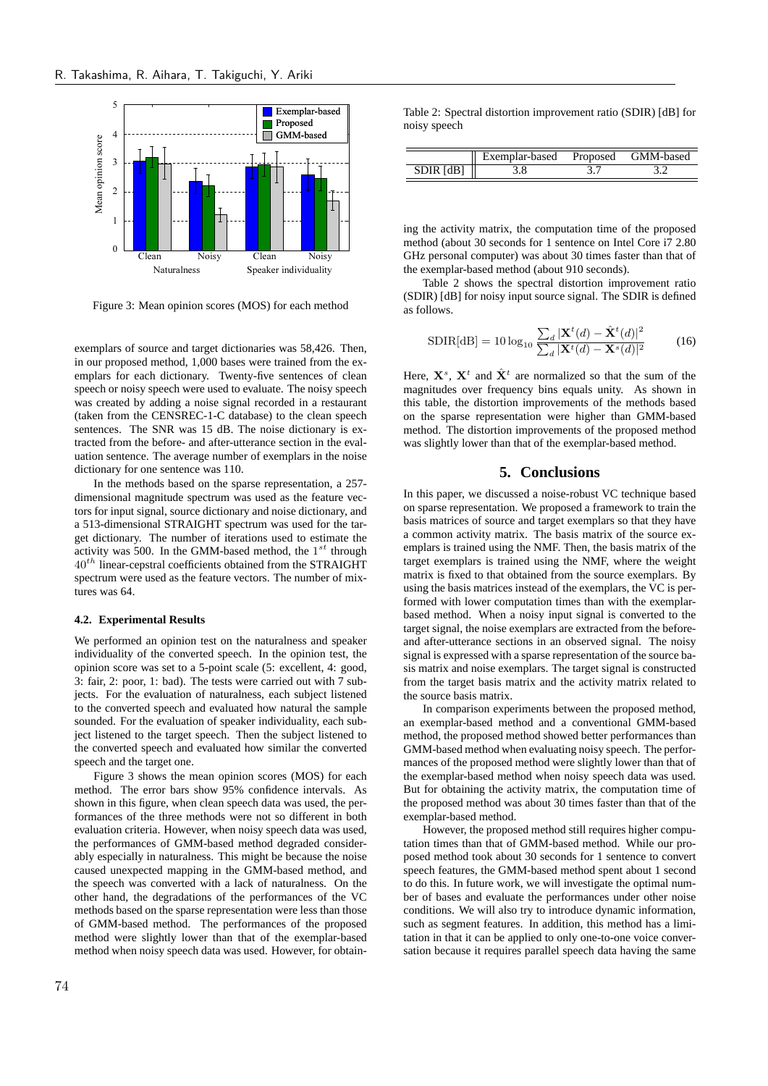

Figure 3: Mean opinion scores (MOS) for each method

exemplars of source and target dictionaries was 58,426. Then, in our proposed method, 1,000 bases were trained from the exemplars for each dictionary. Twenty-five sentences of clean speech or noisy speech were used to evaluate. The noisy speech was created by adding a noise signal recorded in a restaurant (taken from the CENSREC-1-C database) to the clean speech sentences. The SNR was 15 dB. The noise dictionary is extracted from the before- and after-utterance section in the evaluation sentence. The average number of exemplars in the noise dictionary for one sentence was 110.

In the methods based on the sparse representation, a 257 dimensional magnitude spectrum was used as the feature vectors for input signal, source dictionary and noise dictionary, and a 513-dimensional STRAIGHT spectrum was used for the target dictionary. The number of iterations used to estimate the activity was 500. In the GMM-based method, the  $1^{st}$  through  $40<sup>th</sup>$  linear-cepstral coefficients obtained from the STRAIGHT spectrum were used as the feature vectors. The number of mixtures was 64.

#### **4.2. Experimental Results**

We performed an opinion test on the naturalness and speaker individuality of the converted speech. In the opinion test, the opinion score was set to a 5-point scale (5: excellent, 4: good, 3: fair, 2: poor, 1: bad). The tests were carried out with 7 subjects. For the evaluation of naturalness, each subject listened to the converted speech and evaluated how natural the sample sounded. For the evaluation of speaker individuality, each subject listened to the target speech. Then the subject listened to the converted speech and evaluated how similar the converted speech and the target one.

Figure 3 shows the mean opinion scores (MOS) for each method. The error bars show 95% confidence intervals. As shown in this figure, when clean speech data was used, the performances of the three methods were not so different in both evaluation criteria. However, when noisy speech data was used, the performances of GMM-based method degraded considerably especially in naturalness. This might be because the noise caused unexpected mapping in the GMM-based method, and the speech was converted with a lack of naturalness. On the other hand, the degradations of the performances of the VC methods based on the sparse representation were less than those of GMM-based method. The performances of the proposed method were slightly lower than that of the exemplar-based method when noisy speech data was used. However, for obtainTable 2: Spectral distortion improvement ratio (SDIR) [dB] for noisy speech

| 3.8 |           | Exemplar-based Proposed GMM-based |  |
|-----|-----------|-----------------------------------|--|
|     | SDIR [dB] |                                   |  |

ing the activity matrix, the computation time of the proposed method (about 30 seconds for 1 sentence on Intel Core i7 2.80 GHz personal computer) was about 30 times faster than that of the exemplar-based method (about 910 seconds).

Table 2 shows the spectral distortion improvement ratio (SDIR) [dB] for noisy input source signal. The SDIR is defined as follows.

$$
\text{SDIR[dB]} = 10 \log_{10} \frac{\sum_{d} |\mathbf{X}^{t}(d) - \hat{\mathbf{X}}^{t}(d)|^{2}}{\sum_{d} |\mathbf{X}^{t}(d) - \mathbf{X}^{s}(d)|^{2}} \tag{16}
$$

Here,  $X^s$ ,  $X^t$  and  $\hat{X}^t$  are normalized so that the sum of the magnitudes over frequency bins equals unity. As shown in this table, the distortion improvements of the methods based on the sparse representation were higher than GMM-based method. The distortion improvements of the proposed method was slightly lower than that of the exemplar-based method.

## **5. Conclusions**

In this paper, we discussed a noise-robust VC technique based on sparse representation. We proposed a framework to train the basis matrices of source and target exemplars so that they have a common activity matrix. The basis matrix of the source exemplars is trained using the NMF. Then, the basis matrix of the target exemplars is trained using the NMF, where the weight matrix is fixed to that obtained from the source exemplars. By using the basis matrices instead of the exemplars, the VC is performed with lower computation times than with the exemplarbased method. When a noisy input signal is converted to the target signal, the noise exemplars are extracted from the beforeand after-utterance sections in an observed signal. The noisy signal is expressed with a sparse representation of the source basis matrix and noise exemplars. The target signal is constructed from the target basis matrix and the activity matrix related to the source basis matrix.

In comparison experiments between the proposed method, an exemplar-based method and a conventional GMM-based method, the proposed method showed better performances than GMM-based method when evaluating noisy speech. The performances of the proposed method were slightly lower than that of the exemplar-based method when noisy speech data was used. But for obtaining the activity matrix, the computation time of the proposed method was about 30 times faster than that of the exemplar-based method.

However, the proposed method still requires higher computation times than that of GMM-based method. While our proposed method took about 30 seconds for 1 sentence to convert speech features, the GMM-based method spent about 1 second to do this. In future work, we will investigate the optimal number of bases and evaluate the performances under other noise conditions. We will also try to introduce dynamic information, such as segment features. In addition, this method has a limitation in that it can be applied to only one-to-one voice conversation because it requires parallel speech data having the same